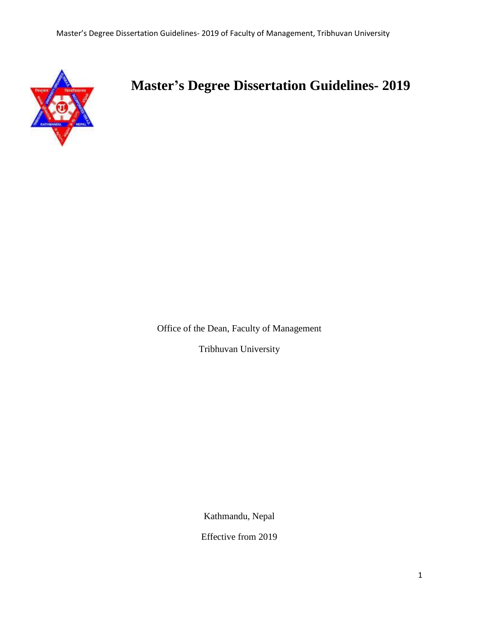

# **Master's Degree Dissertation Guidelines- 2019**

Office of the Dean, Faculty of Management

Tribhuvan University

Kathmandu, Nepal

Effective from 2019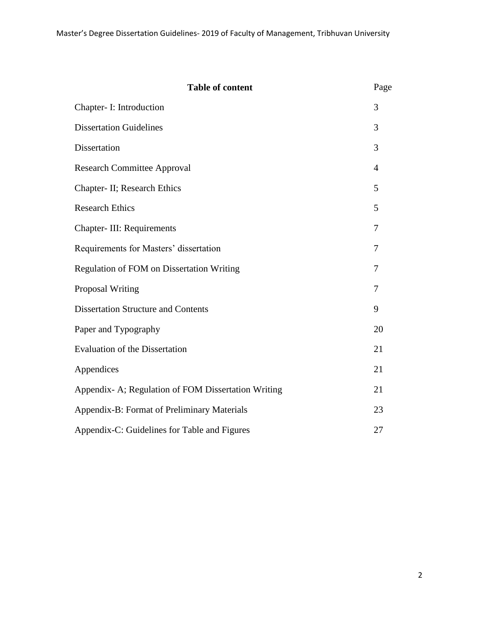| <b>Table of content</b>                             | Page |
|-----------------------------------------------------|------|
| Chapter- I: Introduction                            | 3    |
| <b>Dissertation Guidelines</b>                      | 3    |
| Dissertation                                        | 3    |
| <b>Research Committee Approval</b>                  | 4    |
| Chapter- II; Research Ethics                        | 5    |
| <b>Research Ethics</b>                              | 5    |
| Chapter-III: Requirements                           | 7    |
| Requirements for Masters' dissertation              | 7    |
| <b>Regulation of FOM on Dissertation Writing</b>    | 7    |
| <b>Proposal Writing</b>                             | 7    |
| <b>Dissertation Structure and Contents</b>          | 9    |
| Paper and Typography                                | 20   |
| <b>Evaluation of the Dissertation</b>               | 21   |
| Appendices                                          | 21   |
| Appendix- A; Regulation of FOM Dissertation Writing | 21   |
| Appendix-B: Format of Preliminary Materials         | 23   |
| Appendix-C: Guidelines for Table and Figures        | 27   |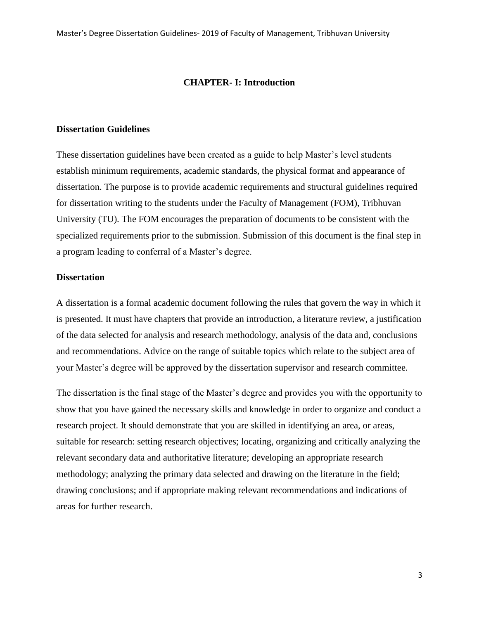#### **CHAPTER- I: Introduction**

## **Dissertation Guidelines**

These dissertation guidelines have been created as a guide to help Master's level students establish minimum requirements, academic standards, the physical format and appearance of dissertation. The purpose is to provide academic requirements and structural guidelines required for dissertation writing to the students under the Faculty of Management (FOM), Tribhuvan University (TU). The FOM encourages the preparation of documents to be consistent with the specialized requirements prior to the submission. Submission of this document is the final step in a program leading to conferral of a Master's degree.

## **Dissertation**

A dissertation is a formal academic document following the rules that govern the way in which it is presented. It must have chapters that provide an introduction, a literature review, a justification of the data selected for analysis and research methodology, analysis of the data and, conclusions and recommendations. Advice on the range of suitable topics which relate to the subject area of your Master"s degree will be approved by the dissertation supervisor and research committee.

The dissertation is the final stage of the Master"s degree and provides you with the opportunity to show that you have gained the necessary skills and knowledge in order to organize and conduct a research project. It should demonstrate that you are skilled in identifying an area, or areas, suitable for research: setting research objectives; locating, organizing and critically analyzing the relevant secondary data and authoritative literature; developing an appropriate research methodology; analyzing the primary data selected and drawing on the literature in the field; drawing conclusions; and if appropriate making relevant recommendations and indications of areas for further research.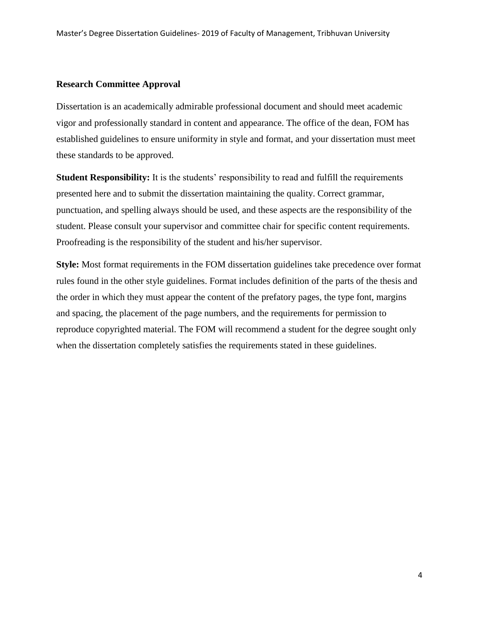## **Research Committee Approval**

Dissertation is an academically admirable professional document and should meet academic vigor and professionally standard in content and appearance. The office of the dean, FOM has established guidelines to ensure uniformity in style and format, and your dissertation must meet these standards to be approved.

**Student Responsibility:** It is the students' responsibility to read and fulfill the requirements presented here and to submit the dissertation maintaining the quality. Correct grammar, punctuation, and spelling always should be used, and these aspects are the responsibility of the student. Please consult your supervisor and committee chair for specific content requirements. Proofreading is the responsibility of the student and his/her supervisor.

**Style:** Most format requirements in the FOM dissertation guidelines take precedence over format rules found in the other style guidelines. Format includes definition of the parts of the thesis and the order in which they must appear the content of the prefatory pages, the type font, margins and spacing, the placement of the page numbers, and the requirements for permission to reproduce copyrighted material. The FOM will recommend a student for the degree sought only when the dissertation completely satisfies the requirements stated in these guidelines.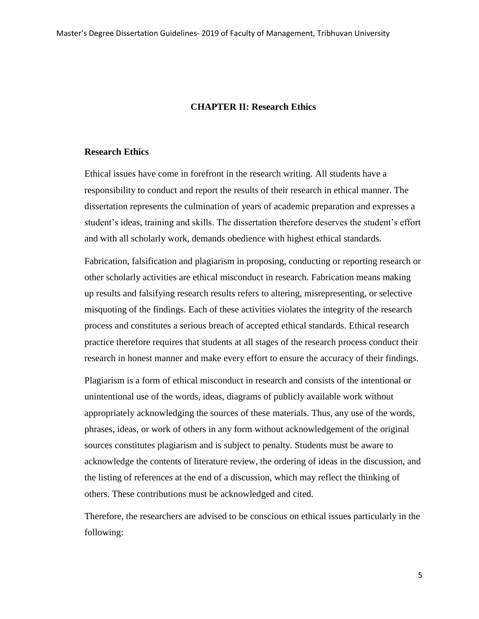#### **CHAPTER II: Research Ethics**

#### **Research Ethics**

Ethical issues have come in forefront in the research writing. All students have a responsibility to conduct and report the results of their research in ethical manner. The dissertation represents the culmination of years of academic preparation and expresses a student's ideas, training and skills. The dissertation therefore deserves the student's effort and with all scholarly work, demands obedience with highest ethical standards.

Fabrication, falsification and plagiarism in proposing, conducting or reporting research or other scholarly activities are ethical misconduct in research. Fabrication means making up results and falsifying research results refers to altering, misrepresenting, or selective misquoting of the findings. Each of these activities violates the integrity of the research process and constitutes a serious breach of accepted ethical standards. Ethical research practice therefore requires that students at all stages of the research process conduct their research in honest manner and make every effort to ensure the accuracy of their findings.

Plagiarism is a form of ethical misconduct in research and consists of the intentional or unintentional use of the words, ideas, diagrams of publicly available work without appropriately acknowledging the sources of these materials. Thus, any use of the words, phrases, ideas, or work of others in any form without acknowledgement of the original sources constitutes plagiarism and is subject to penalty. Students must be aware to acknowledge the contents of literature review, the ordering of ideas in the discussion, and the listing of references at the end of a discussion, which may reflect the thinking of others. These contributions must be acknowledged and cited.

Therefore, the researchers are advised to be conscious on ethical issues particularly in the following: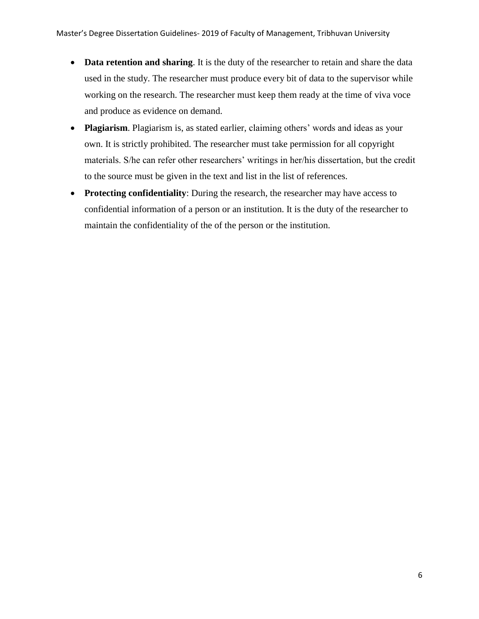- **Data retention and sharing**. It is the duty of the researcher to retain and share the data used in the study. The researcher must produce every bit of data to the supervisor while working on the research. The researcher must keep them ready at the time of viva voce and produce as evidence on demand.
- Plagiarism. Plagiarism is, as stated earlier, claiming others' words and ideas as your own. It is strictly prohibited. The researcher must take permission for all copyright materials. S/he can refer other researchers' writings in her/his dissertation, but the credit to the source must be given in the text and list in the list of references.
- **Protecting confidentiality**: During the research, the researcher may have access to confidential information of a person or an institution. It is the duty of the researcher to maintain the confidentiality of the of the person or the institution.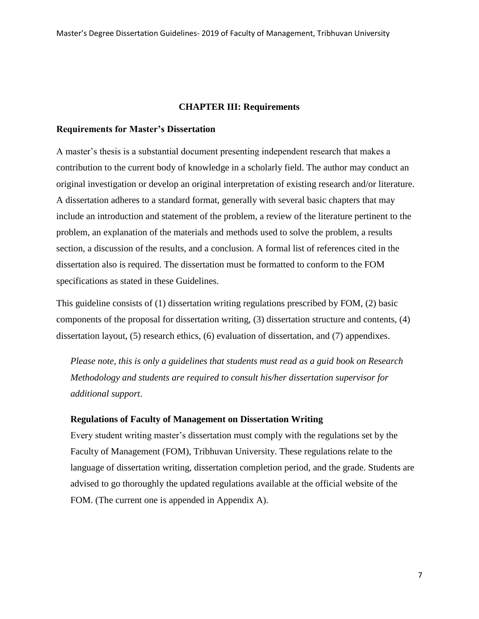#### **CHAPTER III: Requirements**

#### **Requirements for Master's Dissertation**

A master"s thesis is a substantial document presenting independent research that makes a contribution to the current body of knowledge in a scholarly field. The author may conduct an original investigation or develop an original interpretation of existing research and/or literature. A dissertation adheres to a standard format, generally with several basic chapters that may include an introduction and statement of the problem, a review of the literature pertinent to the problem, an explanation of the materials and methods used to solve the problem, a results section, a discussion of the results, and a conclusion. A formal list of references cited in the dissertation also is required. The dissertation must be formatted to conform to the FOM specifications as stated in these Guidelines.

This guideline consists of (1) dissertation writing regulations prescribed by FOM, (2) basic components of the proposal for dissertation writing, (3) dissertation structure and contents, (4) dissertation layout, (5) research ethics, (6) evaluation of dissertation, and (7) appendixes.

*Please note, this is only a guidelines that students must read as a guid book on Research Methodology and students are required to consult his/her dissertation supervisor for additional support*.

#### **Regulations of Faculty of Management on Dissertation Writing**

Every student writing master"s dissertation must comply with the regulations set by the Faculty of Management (FOM), Tribhuvan University. These regulations relate to the language of dissertation writing, dissertation completion period, and the grade. Students are advised to go thoroughly the updated regulations available at the official website of the FOM. (The current one is appended in Appendix A).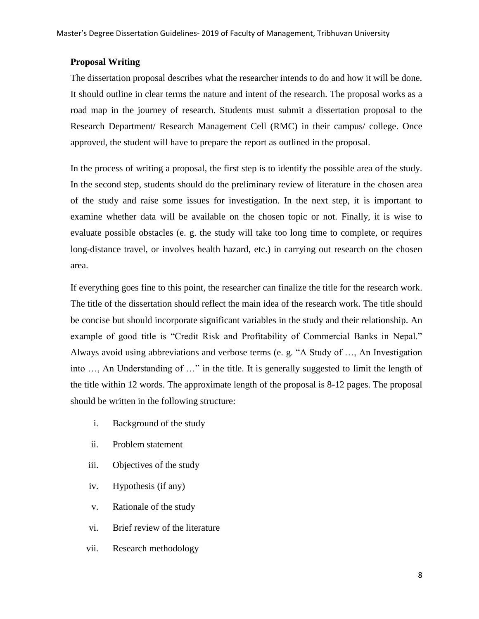## **Proposal Writing**

The dissertation proposal describes what the researcher intends to do and how it will be done. It should outline in clear terms the nature and intent of the research. The proposal works as a road map in the journey of research. Students must submit a dissertation proposal to the Research Department/ Research Management Cell (RMC) in their campus/ college. Once approved, the student will have to prepare the report as outlined in the proposal.

In the process of writing a proposal, the first step is to identify the possible area of the study. In the second step, students should do the preliminary review of literature in the chosen area of the study and raise some issues for investigation. In the next step, it is important to examine whether data will be available on the chosen topic or not. Finally, it is wise to evaluate possible obstacles (e. g. the study will take too long time to complete, or requires long-distance travel, or involves health hazard, etc.) in carrying out research on the chosen area.

If everything goes fine to this point, the researcher can finalize the title for the research work. The title of the dissertation should reflect the main idea of the research work. The title should be concise but should incorporate significant variables in the study and their relationship. An example of good title is "Credit Risk and Profitability of Commercial Banks in Nepal." Always avoid using abbreviations and verbose terms (e. g. "A Study of …, An Investigation into …, An Understanding of …" in the title. It is generally suggested to limit the length of the title within 12 words. The approximate length of the proposal is 8-12 pages. The proposal should be written in the following structure:

- i. Background of the study
- ii. Problem statement
- iii. Objectives of the study
- iv. Hypothesis (if any)
- v. Rationale of the study
- vi. Brief review of the literature
- vii. Research methodology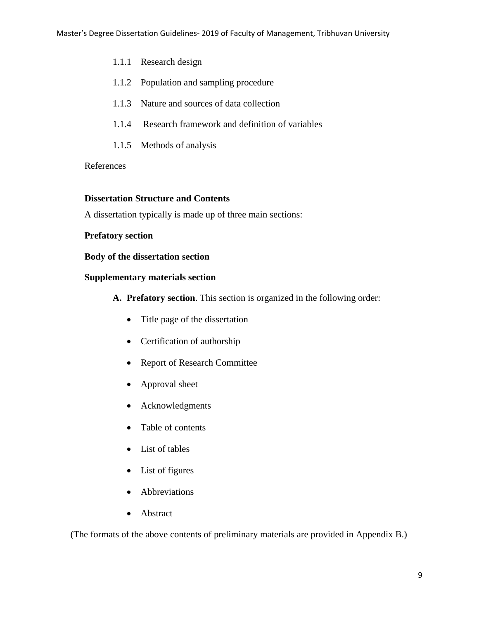- 1.1.1 Research design
- 1.1.2 Population and sampling procedure
- 1.1.3 Nature and sources of data collection
- 1.1.4 Research framework and definition of variables
- 1.1.5 Methods of analysis

## References

## **Dissertation Structure and Contents**

A dissertation typically is made up of three main sections:

## **Prefatory section**

**Body of the dissertation section**

## **Supplementary materials section**

- **A. Prefatory section**. This section is organized in the following order:
	- Title page of the dissertation
	- Certification of authorship
	- Report of Research Committee
	- Approval sheet
	- Acknowledgments
	- Table of contents
	- List of tables
	- List of figures
	- Abbreviations
	- Abstract

(The formats of the above contents of preliminary materials are provided in Appendix B.)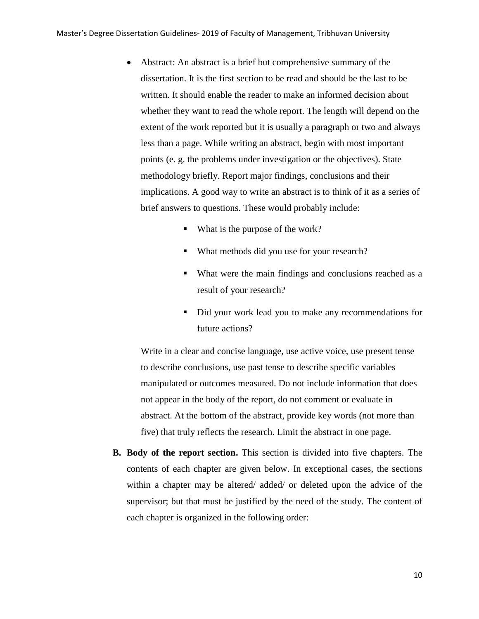- Abstract: An abstract is a brief but comprehensive summary of the dissertation. It is the first section to be read and should be the last to be written. It should enable the reader to make an informed decision about whether they want to read the whole report. The length will depend on the extent of the work reported but it is usually a paragraph or two and always less than a page. While writing an abstract, begin with most important points (e. g. the problems under investigation or the objectives). State methodology briefly. Report major findings, conclusions and their implications. A good way to write an abstract is to think of it as a series of brief answers to questions. These would probably include:
	- What is the purpose of the work?
	- What methods did you use for your research?
	- What were the main findings and conclusions reached as a result of your research?
	- Did your work lead you to make any recommendations for future actions?

Write in a clear and concise language, use active voice, use present tense to describe conclusions, use past tense to describe specific variables manipulated or outcomes measured. Do not include information that does not appear in the body of the report, do not comment or evaluate in abstract. At the bottom of the abstract, provide key words (not more than five) that truly reflects the research. Limit the abstract in one page.

**B. Body of the report section.** This section is divided into five chapters. The contents of each chapter are given below. In exceptional cases, the sections within a chapter may be altered/ added/ or deleted upon the advice of the supervisor; but that must be justified by the need of the study. The content of each chapter is organized in the following order: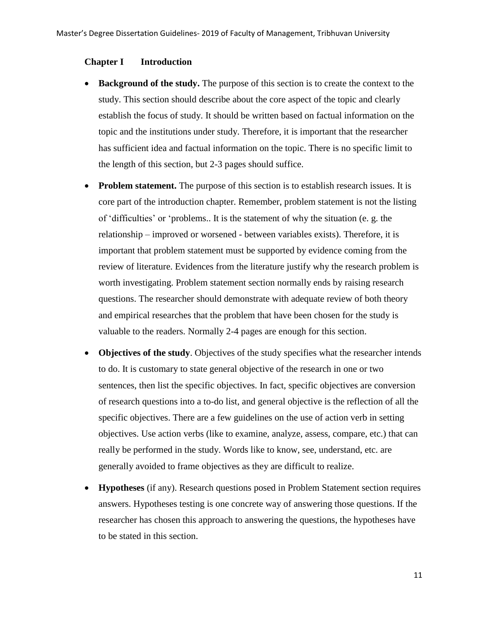#### **Chapter I Introduction**

- **Background of the study.** The purpose of this section is to create the context to the study. This section should describe about the core aspect of the topic and clearly establish the focus of study. It should be written based on factual information on the topic and the institutions under study. Therefore, it is important that the researcher has sufficient idea and factual information on the topic. There is no specific limit to the length of this section, but 2-3 pages should suffice.
- Problem statement. The purpose of this section is to establish research issues. It is core part of the introduction chapter. Remember, problem statement is not the listing of "difficulties" or "problems.. It is the statement of why the situation (e. g. the relationship – improved or worsened - between variables exists). Therefore, it is important that problem statement must be supported by evidence coming from the review of literature. Evidences from the literature justify why the research problem is worth investigating. Problem statement section normally ends by raising research questions. The researcher should demonstrate with adequate review of both theory and empirical researches that the problem that have been chosen for the study is valuable to the readers. Normally 2-4 pages are enough for this section.
- **Objectives of the study**. Objectives of the study specifies what the researcher intends to do. It is customary to state general objective of the research in one or two sentences, then list the specific objectives. In fact, specific objectives are conversion of research questions into a to-do list, and general objective is the reflection of all the specific objectives. There are a few guidelines on the use of action verb in setting objectives. Use action verbs (like to examine, analyze, assess, compare, etc.) that can really be performed in the study. Words like to know, see, understand, etc. are generally avoided to frame objectives as they are difficult to realize.
- **Hypotheses** (if any). Research questions posed in Problem Statement section requires answers. Hypotheses testing is one concrete way of answering those questions. If the researcher has chosen this approach to answering the questions, the hypotheses have to be stated in this section.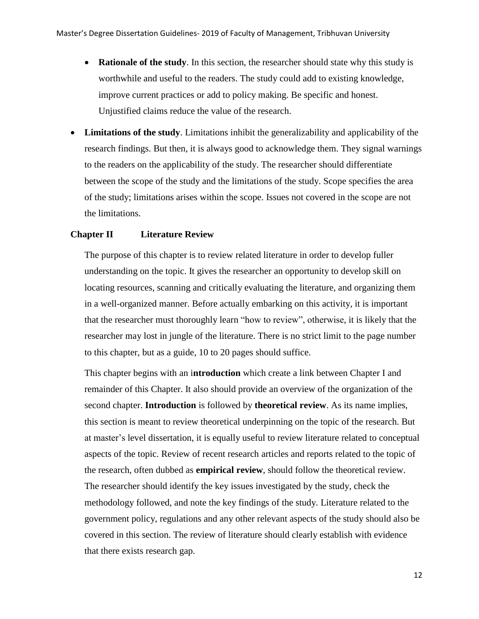- **Rationale of the study**. In this section, the researcher should state why this study is worthwhile and useful to the readers. The study could add to existing knowledge, improve current practices or add to policy making. Be specific and honest. Unjustified claims reduce the value of the research.
- **Limitations of the study**. Limitations inhibit the generalizability and applicability of the research findings. But then, it is always good to acknowledge them. They signal warnings to the readers on the applicability of the study. The researcher should differentiate between the scope of the study and the limitations of the study. Scope specifies the area of the study; limitations arises within the scope. Issues not covered in the scope are not the limitations.

#### **Chapter II Literature Review**

The purpose of this chapter is to review related literature in order to develop fuller understanding on the topic. It gives the researcher an opportunity to develop skill on locating resources, scanning and critically evaluating the literature, and organizing them in a well-organized manner. Before actually embarking on this activity, it is important that the researcher must thoroughly learn "how to review", otherwise, it is likely that the researcher may lost in jungle of the literature. There is no strict limit to the page number to this chapter, but as a guide, 10 to 20 pages should suffice.

This chapter begins with an i**ntroduction** which create a link between Chapter I and remainder of this Chapter. It also should provide an overview of the organization of the second chapter. **Introduction** is followed by **theoretical review**. As its name implies, this section is meant to review theoretical underpinning on the topic of the research. But at master"s level dissertation, it is equally useful to review literature related to conceptual aspects of the topic. Review of recent research articles and reports related to the topic of the research, often dubbed as **empirical review**, should follow the theoretical review. The researcher should identify the key issues investigated by the study, check the methodology followed, and note the key findings of the study. Literature related to the government policy, regulations and any other relevant aspects of the study should also be covered in this section. The review of literature should clearly establish with evidence that there exists research gap.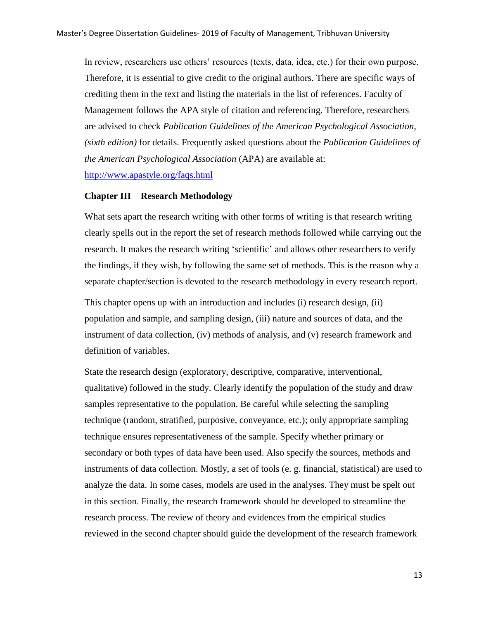In review, researchers use others" resources (texts, data, idea, etc.) for their own purpose. Therefore, it is essential to give credit to the original authors. There are specific ways of crediting them in the text and listing the materials in the list of references. Faculty of Management follows the APA style of citation and referencing. Therefore, researchers are advised to check *Publication Guidelines of the American Psychological Association, (sixth edition)* for details. Frequently asked questions about the *Publication Guidelines of the American Psychological Association* (APA) are available at: <http://www.apastyle.org/faqs.html>

#### **Chapter III Research Methodology**

What sets apart the research writing with other forms of writing is that research writing clearly spells out in the report the set of research methods followed while carrying out the research. It makes the research writing 'scientific' and allows other researchers to verify the findings, if they wish, by following the same set of methods. This is the reason why a separate chapter/section is devoted to the research methodology in every research report.

This chapter opens up with an introduction and includes (i) research design, (ii) population and sample, and sampling design, (iii) nature and sources of data, and the instrument of data collection, (iv) methods of analysis, and (v) research framework and definition of variables.

State the research design (exploratory, descriptive, comparative, interventional, qualitative) followed in the study. Clearly identify the population of the study and draw samples representative to the population. Be careful while selecting the sampling technique (random, stratified, purposive, conveyance, etc.); only appropriate sampling technique ensures representativeness of the sample. Specify whether primary or secondary or both types of data have been used. Also specify the sources, methods and instruments of data collection. Mostly, a set of tools (e. g. financial, statistical) are used to analyze the data. In some cases, models are used in the analyses. They must be spelt out in this section. Finally, the research framework should be developed to streamline the research process. The review of theory and evidences from the empirical studies reviewed in the second chapter should guide the development of the research framework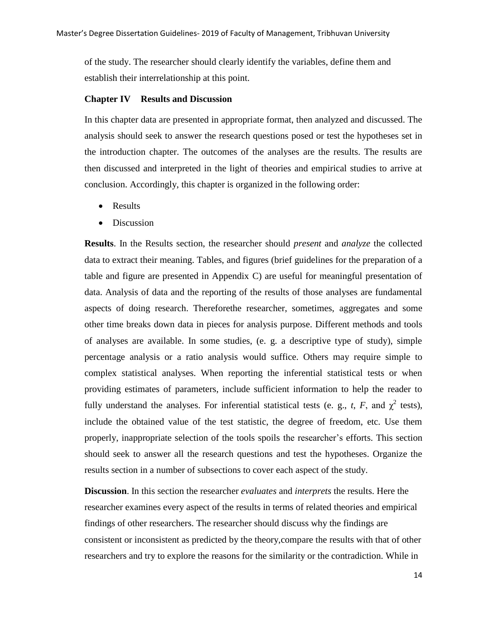of the study. The researcher should clearly identify the variables, define them and establish their interrelationship at this point.

#### **Chapter IV Results and Discussion**

In this chapter data are presented in appropriate format, then analyzed and discussed. The analysis should seek to answer the research questions posed or test the hypotheses set in the introduction chapter. The outcomes of the analyses are the results. The results are then discussed and interpreted in the light of theories and empirical studies to arrive at conclusion. Accordingly, this chapter is organized in the following order:

- Results
- Discussion

**Results**. In the Results section, the researcher should *present* and *analyze* the collected data to extract their meaning. Tables, and figures (brief guidelines for the preparation of a table and figure are presented in Appendix C) are useful for meaningful presentation of data. Analysis of data and the reporting of the results of those analyses are fundamental aspects of doing research. Thereforethe researcher, sometimes, aggregates and some other time breaks down data in pieces for analysis purpose. Different methods and tools of analyses are available. In some studies, (e. g. a descriptive type of study), simple percentage analysis or a ratio analysis would suffice. Others may require simple to complex statistical analyses. When reporting the inferential statistical tests or when providing estimates of parameters, include sufficient information to help the reader to fully understand the analyses. For inferential statistical tests (e. g., *t*, *F*, and  $\chi^2$  tests), include the obtained value of the test statistic, the degree of freedom, etc. Use them properly, inappropriate selection of the tools spoils the researcher"s efforts. This section should seek to answer all the research questions and test the hypotheses. Organize the results section in a number of subsections to cover each aspect of the study.

**Discussion**. In this section the researcher *evaluates* and *interprets* the results. Here the researcher examines every aspect of the results in terms of related theories and empirical findings of other researchers. The researcher should discuss why the findings are consistent or inconsistent as predicted by the theory,compare the results with that of other researchers and try to explore the reasons for the similarity or the contradiction. While in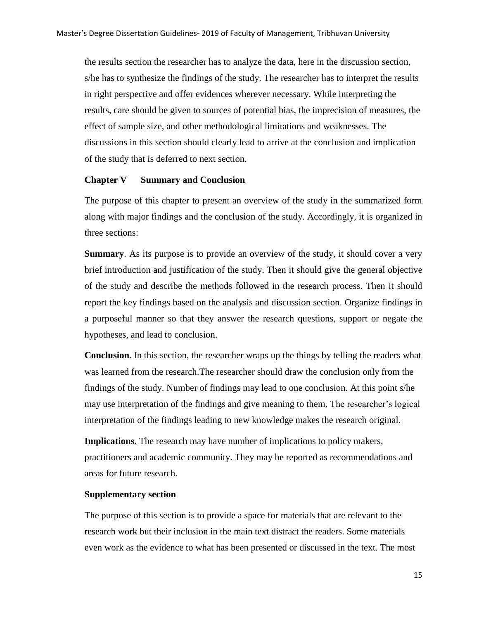the results section the researcher has to analyze the data, here in the discussion section, s/he has to synthesize the findings of the study. The researcher has to interpret the results in right perspective and offer evidences wherever necessary. While interpreting the results, care should be given to sources of potential bias, the imprecision of measures, the effect of sample size, and other methodological limitations and weaknesses. The discussions in this section should clearly lead to arrive at the conclusion and implication of the study that is deferred to next section.

#### **Chapter V Summary and Conclusion**

The purpose of this chapter to present an overview of the study in the summarized form along with major findings and the conclusion of the study. Accordingly, it is organized in three sections:

**Summary.** As its purpose is to provide an overview of the study, it should cover a very brief introduction and justification of the study. Then it should give the general objective of the study and describe the methods followed in the research process. Then it should report the key findings based on the analysis and discussion section. Organize findings in a purposeful manner so that they answer the research questions, support or negate the hypotheses, and lead to conclusion.

**Conclusion.** In this section, the researcher wraps up the things by telling the readers what was learned from the research.The researcher should draw the conclusion only from the findings of the study. Number of findings may lead to one conclusion. At this point s/he may use interpretation of the findings and give meaning to them. The researcher"s logical interpretation of the findings leading to new knowledge makes the research original.

**Implications.** The research may have number of implications to policy makers, practitioners and academic community. They may be reported as recommendations and areas for future research.

#### **Supplementary section**

The purpose of this section is to provide a space for materials that are relevant to the research work but their inclusion in the main text distract the readers. Some materials even work as the evidence to what has been presented or discussed in the text. The most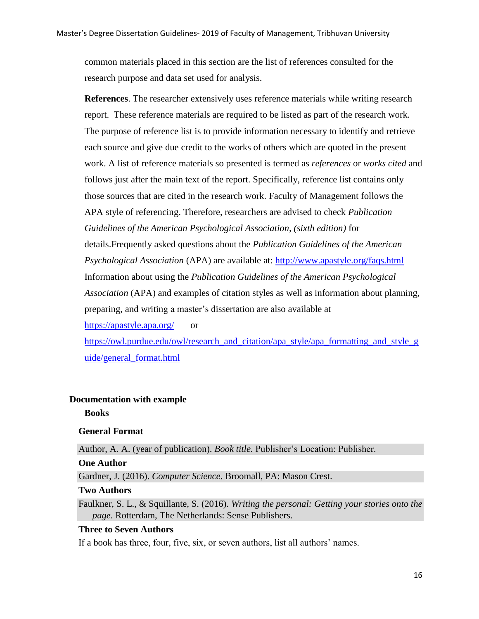common materials placed in this section are the list of references consulted for the research purpose and data set used for analysis.

**References**. The researcher extensively uses reference materials while writing research report. These reference materials are required to be listed as part of the research work. The purpose of reference list is to provide information necessary to identify and retrieve each source and give due credit to the works of others which are quoted in the present work. A list of reference materials so presented is termed as *references* or *works cited* and follows just after the main text of the report. Specifically, reference list contains only those sources that are cited in the research work. Faculty of Management follows the APA style of referencing. Therefore, researchers are advised to check *Publication Guidelines of the American Psychological Association, (sixth edition)* for details.Frequently asked questions about the *Publication Guidelines of the American Psychological Association* (APA) are available at: <http://www.apastyle.org/faqs.html> Information about using the *Publication Guidelines of the American Psychological Association* (APA) and examples of citation styles as well as information about planning, preparing, and writing a master"s dissertation are also available at <https://apastyle.apa.org/>or

[https://owl.purdue.edu/owl/research\\_and\\_citation/apa\\_style/apa\\_formatting\\_and\\_style\\_g](https://owl.purdue.edu/owl/research_and_citation/apa_style/apa_formatting_and_style_guide/general_format.html) [uide/general\\_format.html](https://owl.purdue.edu/owl/research_and_citation/apa_style/apa_formatting_and_style_guide/general_format.html) 

#### **Documentation with example**

**Books**

#### **General Format**

Author, A. A. (year of publication). *Book title*. Publisher's Location: Publisher.

#### **One Author**

Gardner, J. (2016). *Computer Science*. Broomall, PA: Mason Crest.

#### **Two Authors**

Faulkner, S. L., & Squillante, S. (2016). *Writing the personal: Getting your stories onto the page*. Rotterdam, The Netherlands: Sense Publishers.

## **Three to Seven Authors**

If a book has three, four, five, six, or seven authors, list all authors' names.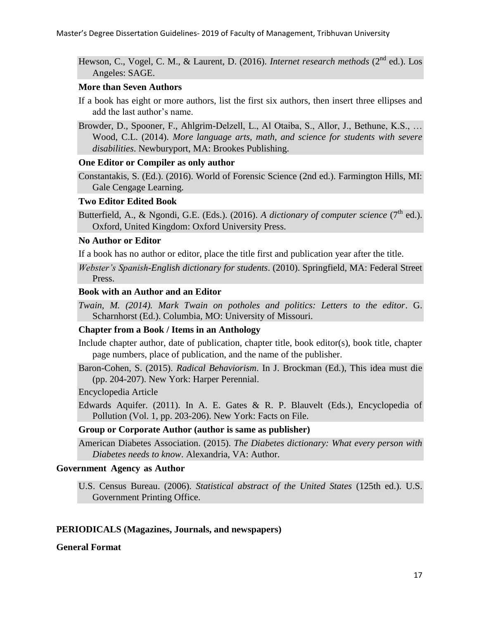Hewson, C., Vogel, C. M., & Laurent, D. (2016). *Internet research methods* (2<sup>nd</sup> ed.). Los Angeles: SAGE.

#### **More than Seven Authors**

If a book has eight or more authors, list the first six authors, then insert three ellipses and add the last author's name.

Browder, D., Spooner, F., Ahlgrim-Delzell, L., Al Otaiba, S., Allor, J., Bethune, K.S., … Wood, C.L. (2014). *More language arts, math, and science for students with severe disabilities*. Newburyport, MA: Brookes Publishing.

## **One Editor or Compiler as only author**

Constantakis, S. (Ed.). (2016). World of Forensic Science (2nd ed.). Farmington Hills, MI: Gale Cengage Learning.

#### **Two Editor Edited Book**

Butterfield, A., & Ngondi, G.E. (Eds.). (2016). *A dictionary of computer science* ( $7<sup>th</sup>$  ed.). Oxford, United Kingdom: Oxford University Press.

## **No Author or Editor**

If a book has no author or editor, place the title first and publication year after the title.

*Webster's Spanish-English dictionary for students*. (2010). Springfield, MA: Federal Street Press.

## **Book with an Author and an Editor**

*Twain, M. (2014). Mark Twain on potholes and politics: Letters to the editor*. G. Scharnhorst (Ed.). Columbia, MO: University of Missouri.

#### **Chapter from a Book / Items in an Anthology**

Include chapter author, date of publication, chapter title, book editor(s), book title, chapter page numbers, place of publication, and the name of the publisher.

Baron-Cohen, S. (2015). *Radical Behaviorism*. In J. Brockman (Ed.), This idea must die (pp. 204-207). New York: Harper Perennial.

Encyclopedia Article

Edwards Aquifer. (2011). In A. E. Gates & R. P. Blauvelt (Eds.), Encyclopedia of Pollution (Vol. 1, pp. 203-206). New York: Facts on File.

## **Group or Corporate Author (author is same as publisher)**

American Diabetes Association. (2015). *The Diabetes dictionary: What every person with Diabetes needs to know*. Alexandria, VA: Author.

#### **Government Agency as Author**

U.S. Census Bureau. (2006). *Statistical abstract of the United States* (125th ed.). U.S. Government Printing Office.

## **PERIODICALS (Magazines, Journals, and newspapers)**

**General Format**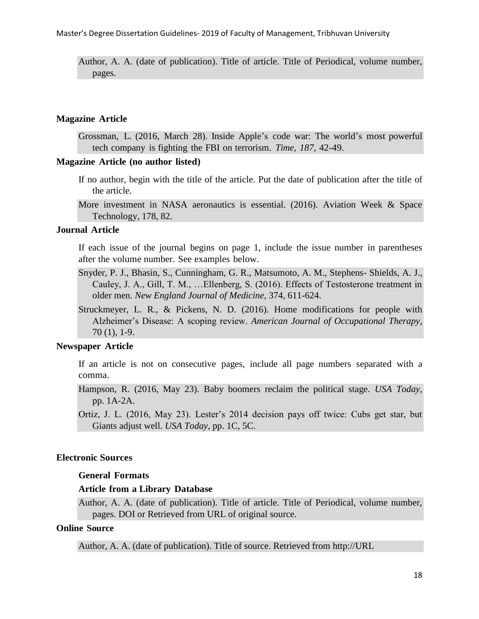Author, A. A. (date of publication). Title of article. Title of Periodical, volume number, pages.

#### **Magazine Article**

Grossman, L. (2016, March 28). Inside Apple"s code war: The world"s most powerful tech company is fighting the FBI on terrorism. *Time, 187*, 42-49.

#### **Magazine Article (no author listed)**

- If no author, begin with the title of the article. Put the date of publication after the title of the article.
- More investment in NASA aeronautics is essential. (2016). Aviation Week & Space Technology, 178, 82.

#### **Journal Article**

If each issue of the journal begins on page 1, include the issue number in parentheses after the volume number. See examples below.

- Snyder, P. J., Bhasin, S., Cunningham, G. R., Matsumoto, A. M., Stephens- Shields, A. J., Cauley, J. A., Gill, T. M., …Ellenberg, S. (2016). Effects of Testosterone treatment in older men. *New England Journal of Medicine*, 374, 611-624.
- Struckmeyer, L. R., & Pickens, N. D. (2016). Home modifications for people with Alzheimer"s Disease: A scoping review. *American Journal of Occupational Therapy*, 70 (1), 1-9.

#### **Newspaper Article**

If an article is not on consecutive pages, include all page numbers separated with a comma.

Hampson, R. (2016, May 23). Baby boomers reclaim the political stage. *USA Today*, pp. 1A-2A.

Ortiz, J. L. (2016, May 23). Lester's 2014 decision pays off twice: Cubs get star, but Giants adjust well. *USA Today*, pp. 1C, 5C.

## **Electronic Sources**

#### **General Formats**

#### **Article from a Library Database**

Author, A. A. (date of publication). Title of article. Title of Periodical, volume number, pages. DOI or Retrieved from URL of original source.

#### **Online Source**

Author, A. A. (date of publication). Title of source. Retrieved from [http://URL](http://url/)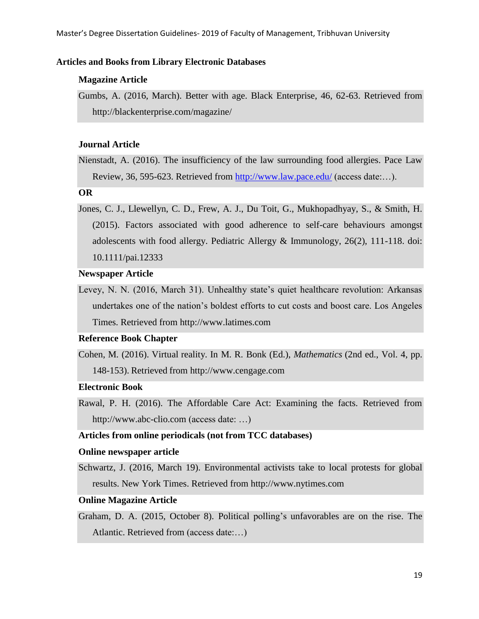#### **Articles and Books from Library Electronic Databases**

#### **Magazine Article**

Gumbs, A. (2016, March). Better with age. Black Enterprise, 46, 62-63. Retrieved from <http://blackenterprise.com/magazine/>

#### **Journal Article**

Nienstadt, A. (2016). The insufficiency of the law surrounding food allergies. Pace Law Review, 36, 595-623. Retrieved from<http://www.law.pace.edu/> (access date:…).

**OR**

Jones, C. J., Llewellyn, C. D., Frew, A. J., Du Toit, G., Mukhopadhyay, S., & Smith, H. (2015). Factors associated with good adherence to self-care behaviours amongst adolescents with food allergy. Pediatric Allergy & Immunology, 26(2), 111-118. doi: 10.1111/pai.12333

#### **Newspaper Article**

Levey, N. N. (2016, March 31). Unhealthy state's quiet healthcare revolution: Arkansas undertakes one of the nation"s boldest efforts to cut costs and boost care. Los Angeles Times. Retrieved from [http://www.latimes.com](http://www.latimes.com/)

#### **Reference Book Chapter**

Cohen, M. (2016). Virtual reality. In M. R. Bonk (Ed.), *Mathematics* (2nd ed., Vol. 4, pp. 148-153). Retrieved from [http://www.cengage.com](http://www.cengage.com/)

## **Electronic Book**

Rawal, P. H. (2016). The Affordable Care Act: Examining the facts. Retrieved from [http://www.abc-clio.com](http://www.abc-clio.com/) (access date: …)

#### **Articles from online periodicals (not from TCC databases)**

#### **Online newspaper article**

Schwartz, J. (2016, March 19). Environmental activists take to local protests for global results. New York Times. Retrieved from [http://www.nytimes.com](http://www.nytimes.com/)

#### **Online Magazine Article**

Graham, D. A. (2015, October 8). Political polling"s unfavorables are on the rise. The Atlantic. Retrieved from (access date:…)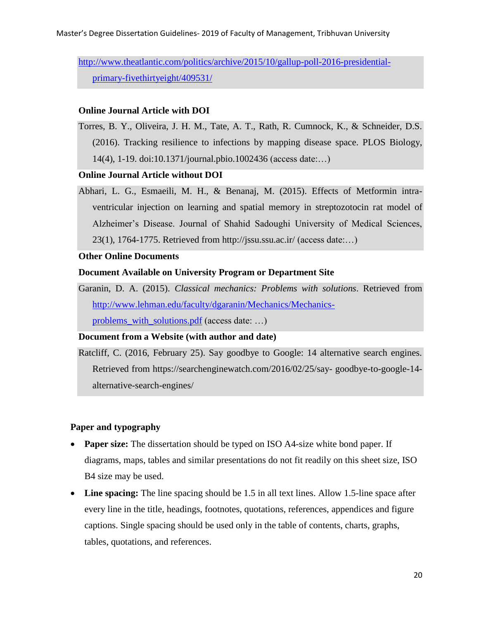[http://www.theatlantic.com/politics/archive/2015/10/gallup-poll-2016-presidential](http://www.theatlantic.com/politics/archive/2015/10/gallup-poll-2016-presidential-primary-fivethirtyeight/409531/)[primary-fivethirtyeight/409531/](http://www.theatlantic.com/politics/archive/2015/10/gallup-poll-2016-presidential-primary-fivethirtyeight/409531/)

#### **Online Journal Article with DOI**

Torres, B. Y., Oliveira, J. H. M., Tate, A. T., Rath, R. Cumnock, K., & Schneider, D.S. (2016). Tracking resilience to infections by mapping disease space. PLOS Biology, 14(4), 1-19. doi:10.1371/journal.pbio.1002436 (access date:…)

#### **Online Journal Article without DOI**

Abhari, L. G., Esmaeili, M. H., & Benanaj, M. (2015). Effects of Metformin intraventricular injection on learning and spatial memory in streptozotocin rat model of Alzheimer"s Disease. Journal of Shahid Sadoughi University of Medical Sciences, 23(1), 1764-1775. Retrieved from<http://jssu.ssu.ac.ir/> (access date:…)

#### **Other Online Documents**

#### **Document Available on University Program or Department Site**

Garanin, D. A. (2015). *Classical mechanics: Problems with solutions*. Retrieved from [http://www.lehman.edu/faculty/dgaranin/Mechanics/Mechanics](http://www.lehman.edu/faculty/dgaranin/Mechanics/Mechanics-problems_with_solutions.pdf)[problems\\_with\\_solutions.pdf](http://www.lehman.edu/faculty/dgaranin/Mechanics/Mechanics-problems_with_solutions.pdf) (access date: …)

#### **Document from a Website (with author and date)**

Ratcliff, C. (2016, February 25). Say goodbye to Google: 14 alternative search engines. Retrieved from https://searchenginewatch.com/2016/02/25/say- goodbye-to-google-14 alternative-search-engines/

## **Paper and typography**

- **Paper size:** The dissertation should be typed on ISO A4-size white bond paper. If diagrams, maps, tables and similar presentations do not fit readily on this sheet size, ISO B4 size may be used.
- **Line spacing:** The line spacing should be 1.5 in all text lines. Allow 1.5-line space after every line in the title, headings, footnotes, quotations, references, appendices and figure captions. Single spacing should be used only in the table of contents, charts, graphs, tables, quotations, and references.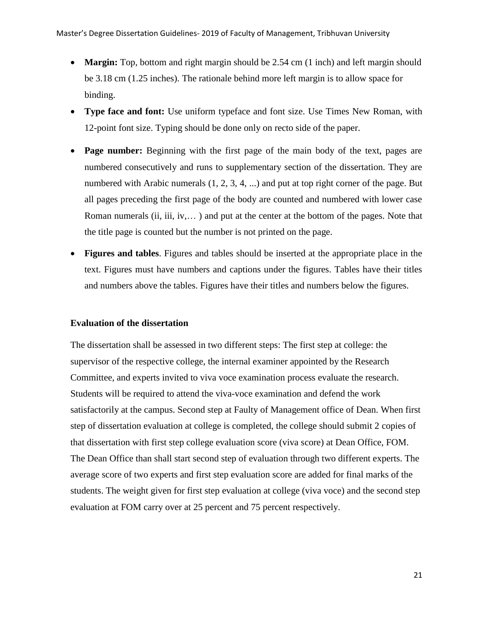- **Margin:** Top, bottom and right margin should be 2.54 cm (1 inch) and left margin should be 3.18 cm (1.25 inches). The rationale behind more left margin is to allow space for binding.
- **Type face and font:** Use uniform typeface and font size. Use Times New Roman, with 12-point font size. Typing should be done only on recto side of the paper.
- **Page number:** Beginning with the first page of the main body of the text, pages are numbered consecutively and runs to supplementary section of the dissertation. They are numbered with Arabic numerals  $(1, 2, 3, 4, ...)$  and put at top right corner of the page. But all pages preceding the first page of the body are counted and numbered with lower case Roman numerals (ii, iii, iv,… ) and put at the center at the bottom of the pages. Note that the title page is counted but the number is not printed on the page.
- **Figures and tables**. Figures and tables should be inserted at the appropriate place in the text. Figures must have numbers and captions under the figures. Tables have their titles and numbers above the tables. Figures have their titles and numbers below the figures.

## **Evaluation of the dissertation**

The dissertation shall be assessed in two different steps: The first step at college: the supervisor of the respective college, the internal examiner appointed by the Research Committee, and experts invited to viva voce examination process evaluate the research. Students will be required to attend the viva-voce examination and defend the work satisfactorily at the campus. Second step at Faulty of Management office of Dean. When first step of dissertation evaluation at college is completed, the college should submit 2 copies of that dissertation with first step college evaluation score (viva score) at Dean Office, FOM. The Dean Office than shall start second step of evaluation through two different experts. The average score of two experts and first step evaluation score are added for final marks of the students. The weight given for first step evaluation at college (viva voce) and the second step evaluation at FOM carry over at 25 percent and 75 percent respectively.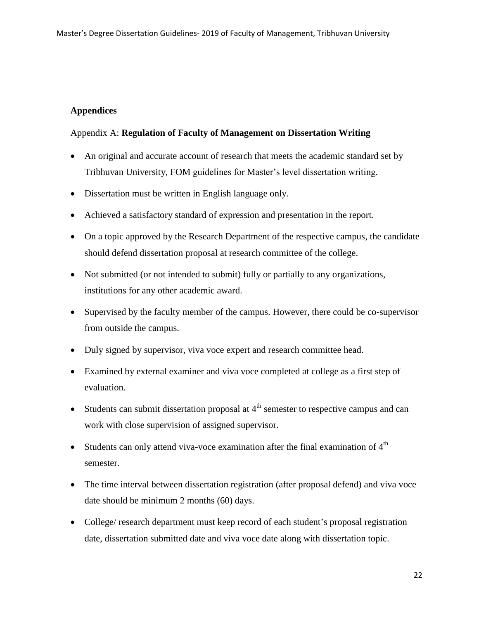## **Appendices**

## Appendix A: **Regulation of Faculty of Management on Dissertation Writing**

- An original and accurate account of research that meets the academic standard set by Tribhuvan University, FOM guidelines for Master"s level dissertation writing.
- Dissertation must be written in English language only.
- Achieved a satisfactory standard of expression and presentation in the report.
- On a topic approved by the Research Department of the respective campus, the candidate should defend dissertation proposal at research committee of the college.
- Not submitted (or not intended to submit) fully or partially to any organizations, institutions for any other academic award.
- Supervised by the faculty member of the campus. However, there could be co-supervisor from outside the campus.
- Duly signed by supervisor, viva voce expert and research committee head.
- Examined by external examiner and viva voce completed at college as a first step of evaluation.
- Students can submit dissertation proposal at  $4<sup>th</sup>$  semester to respective campus and can work with close supervision of assigned supervisor.
- Students can only attend viva-voce examination after the final examination of  $4<sup>th</sup>$ semester.
- The time interval between dissertation registration (after proposal defend) and viva voce date should be minimum 2 months (60) days.
- College/ research department must keep record of each student's proposal registration date, dissertation submitted date and viva voce date along with dissertation topic.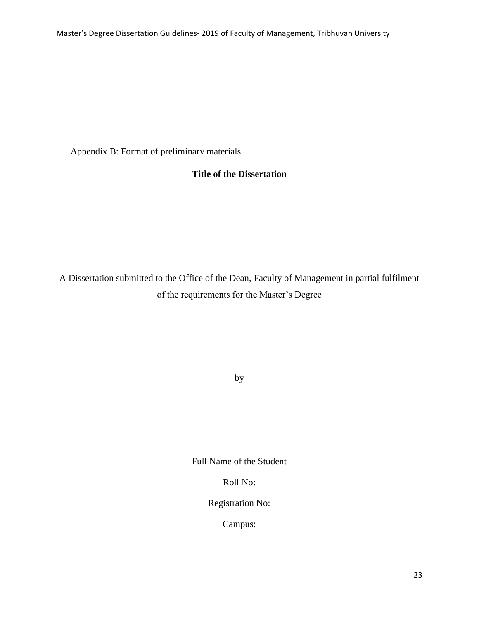Master's Degree Dissertation Guidelines- 2019 of Faculty of Management, Tribhuvan University

Appendix B: Format of preliminary materials

## **Title of the Dissertation**

A Dissertation submitted to the Office of the Dean, Faculty of Management in partial fulfilment of the requirements for the Master's Degree

by

Full Name of the Student

Roll No:

Registration No:

Campus: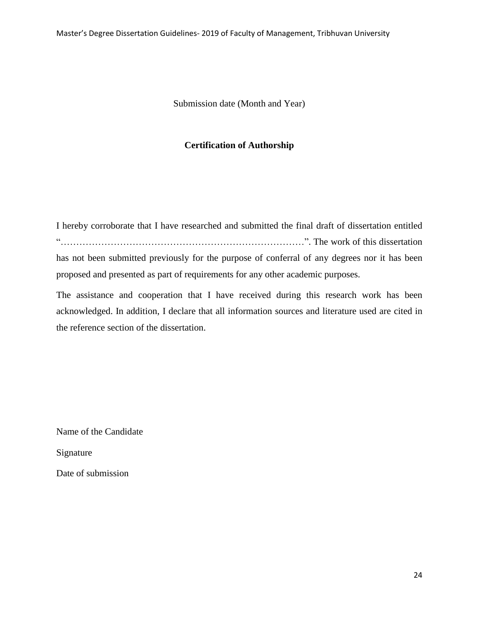Submission date (Month and Year)

#### **Certification of Authorship**

I hereby corroborate that I have researched and submitted the final draft of dissertation entitled "……………………………………………………………………". The work of this dissertation has not been submitted previously for the purpose of conferral of any degrees nor it has been proposed and presented as part of requirements for any other academic purposes.

The assistance and cooperation that I have received during this research work has been acknowledged. In addition, I declare that all information sources and literature used are cited in the reference section of the dissertation.

Name of the Candidate

Signature

Date of submission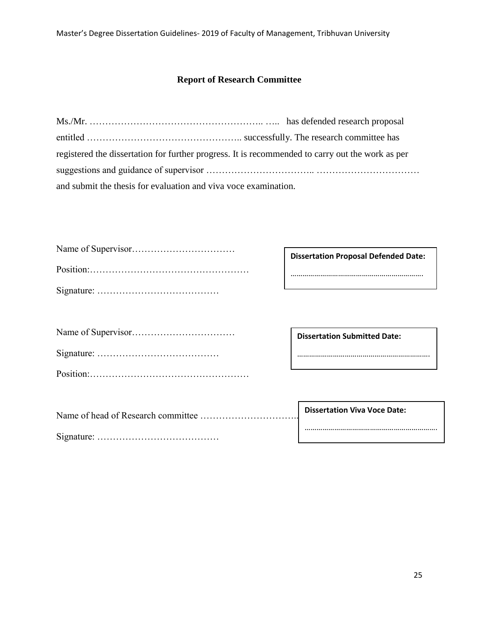## **Report of Research Committee**

| registered the dissertation for further progress. It is recommended to carry out the work as per |  |
|--------------------------------------------------------------------------------------------------|--|
|                                                                                                  |  |
| and submit the thesis for evaluation and viva voce examination.                                  |  |

| <b>Dissertation Proposal Defended Date:</b> |
|---------------------------------------------|
|                                             |
|                                             |
|                                             |
| <b>Dissertation Submitted Date:</b>         |
|                                             |
|                                             |
|                                             |
| <b>Dissertation Viva Voce Date:</b>         |
|                                             |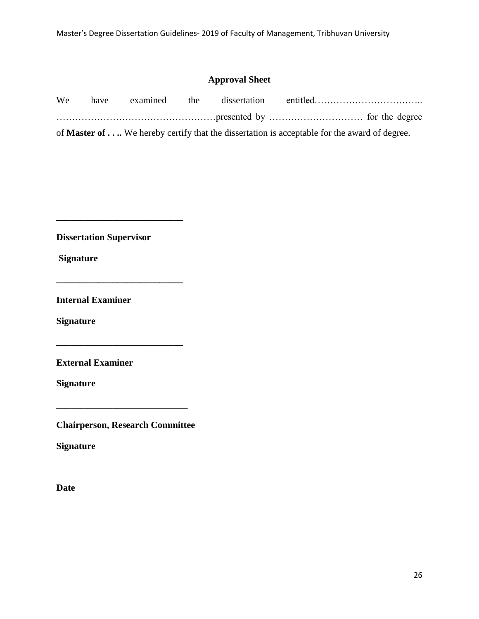## **Approval Sheet**

| We                                                                                                  |  |  |  |  |  |  |  |
|-----------------------------------------------------------------------------------------------------|--|--|--|--|--|--|--|
|                                                                                                     |  |  |  |  |  |  |  |
| of <b>Master of </b> We hereby certify that the dissertation is acceptable for the award of degree. |  |  |  |  |  |  |  |

**Dissertation Supervisor**

**\_\_\_\_\_\_\_\_\_\_\_\_\_\_\_\_\_\_\_\_\_\_\_\_\_\_\_**

**\_\_\_\_\_\_\_\_\_\_\_\_\_\_\_\_\_\_\_\_\_\_\_\_\_\_\_**

**Signature**

**Internal Examiner**

**Signature** 

**External Examiner**

**Signature**

**Chairperson, Research Committee**

**\_\_\_\_\_\_\_\_\_\_\_\_\_\_\_\_\_\_\_\_\_\_\_\_\_\_\_\_**

**Signature**

**Date**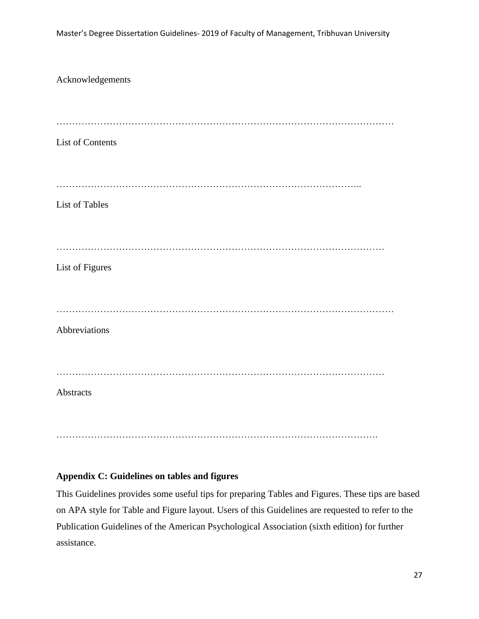Acknowledgements ……………………………………………………………………………………………… List of Contents …………………………………………………………………………………….. List of Tables …………………………………………………………………………………………… List of Figures ……………………………………………………………………………………………… Abbreviations …………………………………………………………………………………………… **Abstracts** ………………………………………………………………………………………….

## **Appendix C: Guidelines on tables and figures**

This Guidelines provides some useful tips for preparing Tables and Figures. These tips are based on APA style for Table and Figure layout. Users of this Guidelines are requested to refer to the Publication Guidelines of the American Psychological Association (sixth edition) for further assistance.